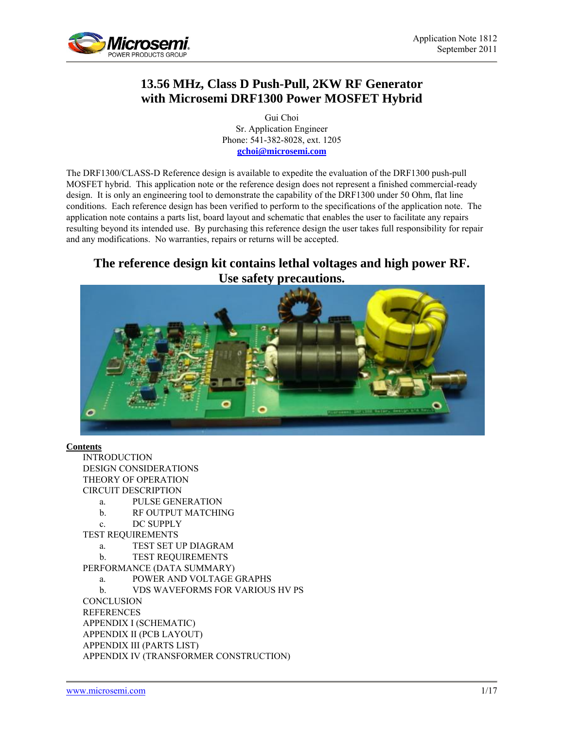

# **13.56 MHz, Class D Push-Pull, 2KW RF Generator with Microsemi DRF1300 Power MOSFET Hybrid**

Gui Choi Sr. Application Engineer Phone: 541-382-8028, ext. 1205 **[gchoi@microsemi.com](mailto:gkrausse@microsemi.com)**

The DRF1300/CLASS-D Reference design is available to expedite the evaluation of the DRF1300 push-pull MOSFET hybrid. This application note or the reference design does not represent a finished commercial-ready design. It is only an engineering tool to demonstrate the capability of the DRF1300 under 50 Ohm, flat line conditions. Each reference design has been verified to perform to the specifications of the application note. The application note contains a parts list, board layout and schematic that enables the user to facilitate any repairs resulting beyond its intended use. By purchasing this reference design the user takes full responsibility for repair and any modifications. No warranties, repairs or returns will be accepted.

# **The reference design kit contains lethal voltages and high power RF. Use safety precautions.**



# **Contents**

**INTRODUCTION** DESIGN CONSIDERATIONS THEORY OF OPERATION CIRCUIT DESCRIPTION

- a. PULSE GENERATION
- b. RF OUTPUT MATCHING
- c. DC SUPPLY

TEST REQUIREMENTS

- a. TEST SET UP DIAGRAM
- b. TEST REQUIREMENTS

PERFORMANCE (DATA SUMMARY)

- a. POWER AND VOLTAGE GRAPHS
- b. VDS WAVEFORMS FOR VARIOUS HV PS

**CONCLUSION** 

**REFERENCES** APPENDIX I (SCHEMATIC) APPENDIX II (PCB LAYOUT) APPENDIX III (PARTS LIST) APPENDIX IV (TRANSFORMER CONSTRUCTION)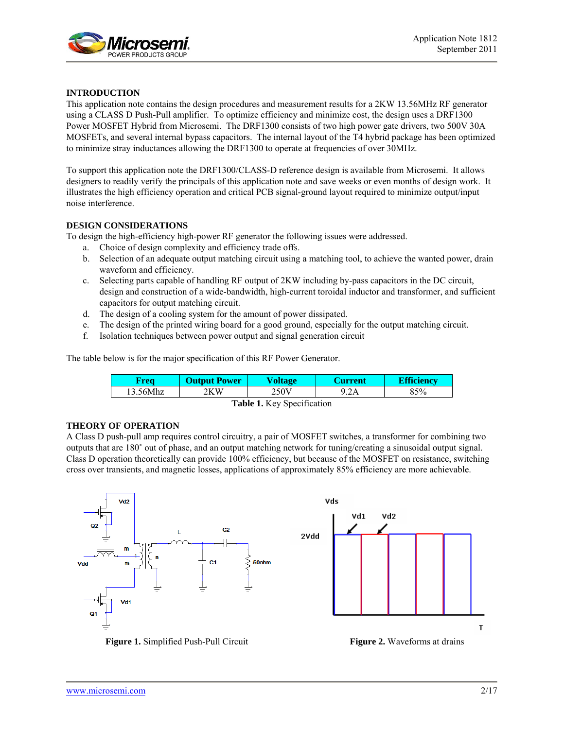

# **INTRODUCTION**

This application note contains the design procedures and measurement results for a 2KW 13.56MHz RF generator using a CLASS D Push-Pull amplifier. To optimize efficiency and minimize cost, the design uses a DRF1300 Power MOSFET Hybrid from Microsemi. The DRF1300 consists of two high power gate drivers, two 500V 30A MOSFETs, and several internal bypass capacitors. The internal layout of the T4 hybrid package has been optimized to minimize stray inductances allowing the DRF1300 to operate at frequencies of over 30MHz.

To support this application note the DRF1300/CLASS-D reference design is available from Microsemi. It allows designers to readily verify the principals of this application note and save weeks or even months of design work. It illustrates the high efficiency operation and critical PCB signal-ground layout required to minimize output/input noise interference.

# **DESIGN CONSIDERATIONS**

To design the high-efficiency high-power RF generator the following issues were addressed.

- a. Choice of design complexity and efficiency trade offs.
- b. Selection of an adequate output matching circuit using a matching tool, to achieve the wanted power, drain waveform and efficiency.
- c. Selecting parts capable of handling RF output of 2KW including by-pass capacitors in the DC circuit, design and construction of a wide-bandwidth, high-current toroidal inductor and transformer, and sufficient capacitors for output matching circuit.
- d. The design of a cooling system for the amount of power dissipated.
- e. The design of the printed wiring board for a good ground, especially for the output matching circuit.
- f. Isolation techniques between power output and signal generation circuit

The table below is for the major specification of this RF Power Generator.

| <b>APON</b>          | <b>Power</b> | Voltage | <b>Pran</b>      | <b>Exerciency</b> |
|----------------------|--------------|---------|------------------|-------------------|
| 12.71<br>.56Mhz<br>. | 2KW          | 50J     | $2\Delta$<br>211 | 85%               |

**Table 1.** Key Specification

# **THEORY OF OPERATION**

A Class D push-pull amp requires control circuitry, a pair of MOSFET switches, a transformer for combining two outputs that are 180˚ out of phase, and an output matching network for tuning/creating a sinusoidal output signal. Class D operation theoretically can provide 100% efficiency, but because of the MOSFET on resistance, switching cross over transients, and magnetic losses, applications of approximately 85% efficiency are more achievable.



**Figure 1.** Simplified Push-Pull Circuit **Figure 2.** Waveforms at drains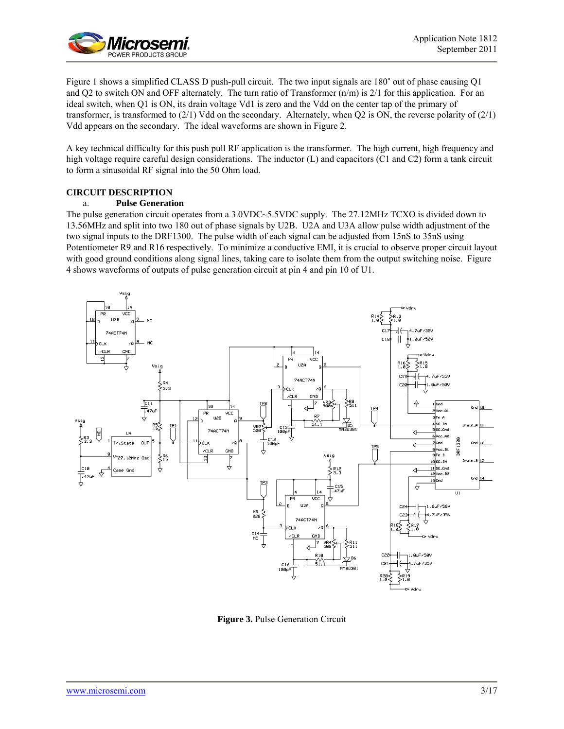

Figure 1 shows a simplified CLASS D push-pull circuit. The two input signals are 180˚ out of phase causing Q1 and Q2 to switch ON and OFF alternately. The turn ratio of Transformer (n/m) is 2/1 for this application. For an ideal switch, when Q1 is ON, its drain voltage Vd1 is zero and the Vdd on the center tap of the primary of transformer, is transformed to (2/1) Vdd on the secondary. Alternately, when Q2 is ON, the reverse polarity of (2/1) Vdd appears on the secondary. The ideal waveforms are shown in Figure 2.

A key technical difficulty for this push pull RF application is the transformer. The high current, high frequency and high voltage require careful design considerations. The inductor (L) and capacitors (C1 and C2) form a tank circuit to form a sinusoidal RF signal into the 50 Ohm load.

# **CIRCUIT DESCRIPTION**

# a. **Pulse Generation**

The pulse generation circuit operates from a 3.0VDC~5.5VDC supply. The 27.12MHz TCXO is divided down to 13.56MHz and split into two 180 out of phase signals by U2B. U2A and U3A allow pulse width adjustment of the two signal inputs to the DRF1300. The pulse width of each signal can be adjusted from 15nS to 35nS using Potentiometer R9 and R16 respectively. To minimize a conductive EMI, it is crucial to observe proper circuit layout with good ground conditions along signal lines, taking care to isolate them from the output switching noise. Figure 4 shows waveforms of outputs of pulse generation circuit at pin 4 and pin 10 of U1.



**Figure 3.** Pulse Generation Circuit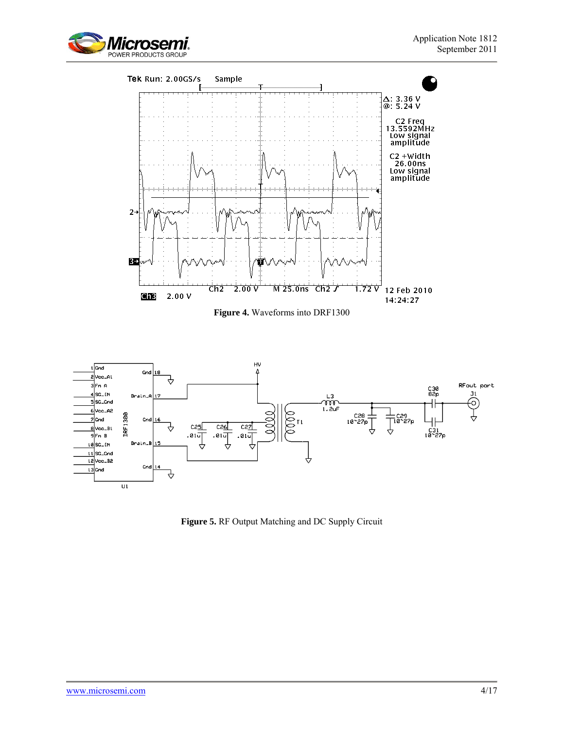



**Figure 4.** Waveforms into DRF1300



**Figure 5.** RF Output Matching and DC Supply Circuit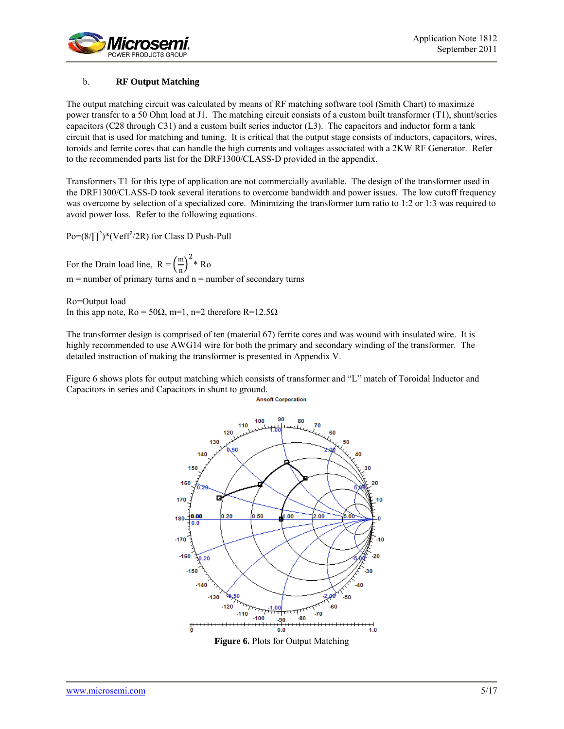

# b. **RF Output Matching**

The output matching circuit was calculated by means of RF matching software tool (Smith Chart) to maximize power transfer to a 50 Ohm load at J1. The matching circuit consists of a custom built transformer (T1), shunt/series capacitors (C28 through C31) and a custom built series inductor  $(L3)$ . The capacitors and inductor form a tank circuit that is used for matching and tuning. It is critical that the output stage consists of inductors, capacitors, wires, toroids and ferrite cores that can handle the high currents and voltages associated with a 2KW RF Generator. Refer to the recommended parts list for the DRF1300/CLASS-D provided in the appendix.

Transformers T1 for this type of application are not commercially available. The design of the transformer used in the DRF1300/CLASS-D took several iterations to overcome bandwidth and power issues. The low cutoff frequency was overcome by selection of a specialized core. Minimizing the transformer turn ratio to 1:2 or 1:3 was required to avoid power loss. Refer to the following equations.

 $Po = (8/\prod^2)^*(Veff^2/2R)$  for Class D Push-Pull

For the Drain load line,  $R = \left(\frac{m}{n}\right)$  $\binom{m}{n}^2$ \* Ro  $m =$  number of primary turns and  $n =$  number of secondary turns

Ro=Output load In this app note,  $Ro = 50Ω$ , m=1, n=2 therefore R=12.5Ω

The transformer design is comprised of ten (material 67) ferrite cores and was wound with insulated wire. It is highly recommended to use AWG14 wire for both the primary and secondary winding of the transformer. The detailed instruction of making the transformer is presented in Appendix V.

Figure 6 shows plots for output matching which consists of transformer and "L" match of Toroidal Inductor and Capacitors in series and Capacitors in shunt to ground.



**Figure 6.** Plots for Output Matching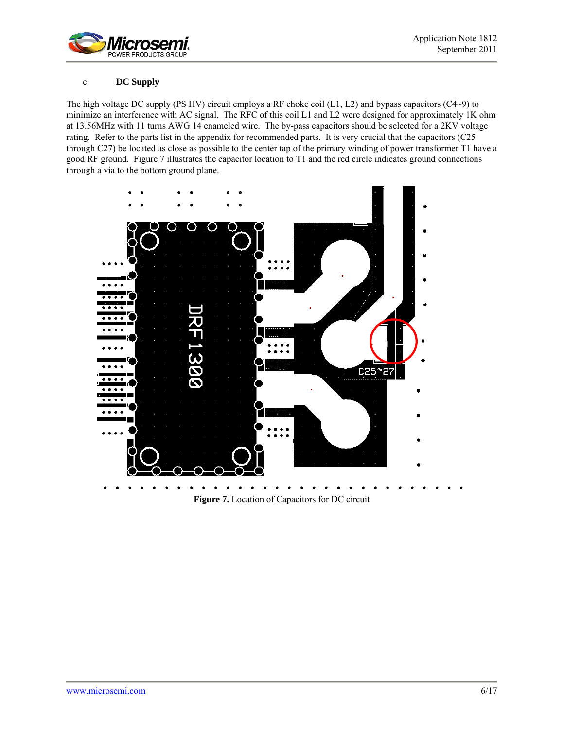

# c. **DC Supply**

The high voltage DC supply (PS HV) circuit employs a RF choke coil (L1, L2) and bypass capacitors (C4~9) to minimize an interference with AC signal. The RFC of this coil L1 and L2 were designed for approximately 1K ohm at 13.56MHz with 11 turns AWG 14 enameled wire. The by-pass capacitors should be selected for a 2KV voltage rating. Refer to the parts list in the appendix for recommended parts. It is very crucial that the capacitors (C25 through C27) be located as close as possible to the center tap of the primary winding of power transformer T1 have a good RF ground. Figure 7 illustrates the capacitor location to T1 and the red circle indicates ground connections through a via to the bottom ground plane.



**Figure 7.** Location of Capacitors for DC circuit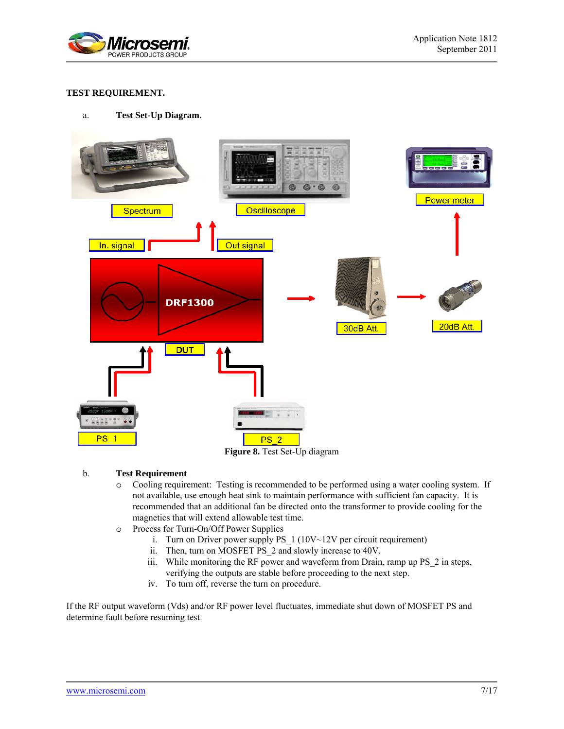

# **TEST REQUIREMENT.**

# a. **Test Set-Up Diagram.**



# **Figure 8.** Test Set-Up diagram

#### b. **Test Requirement**

- o Cooling requirement: Testing is recommended to be performed using a water cooling system. If not available, use enough heat sink to maintain performance with sufficient fan capacity. It is recommended that an additional fan be directed onto the transformer to provide cooling for the magnetics that will extend allowable test time.
- o Process for Turn-On/Off Power Supplies
	- i. Turn on Driver power supply PS\_1 (10V~12V per circuit requirement)
	- ii. Then, turn on MOSFET PS\_2 and slowly increase to 40V.
	- iii. While monitoring the RF power and waveform from Drain, ramp up PS\_2 in steps, verifying the outputs are stable before proceeding to the next step.
	- iv. To turn off, reverse the turn on procedure.

If the RF output waveform (Vds) and/or RF power level fluctuates, immediate shut down of MOSFET PS and determine fault before resuming test.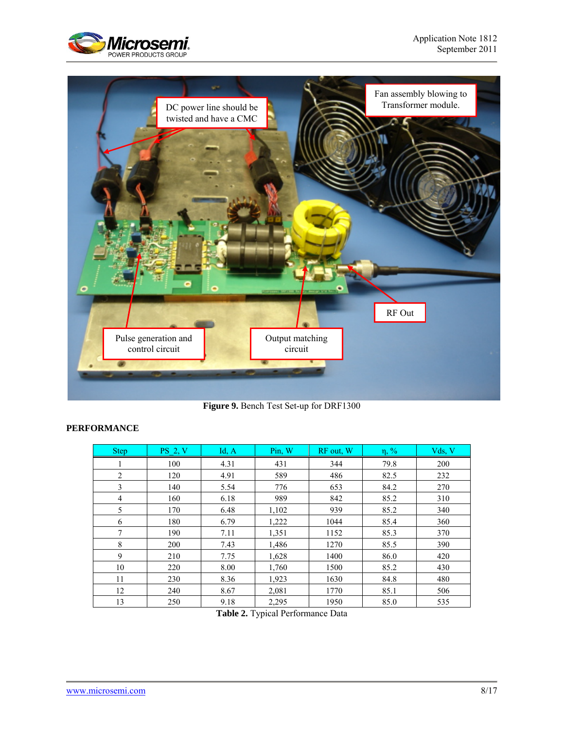



**Figure 9.** Bench Test Set-up for DRF1300

# **PERFORMANCE**

| <b>Step</b>    | $PS$ 2, V | Id, A | Pin, W | RF out, W | $\eta$ , % | Vds, V |
|----------------|-----------|-------|--------|-----------|------------|--------|
|                | 100       | 4.31  | 431    | 344       | 79.8       | 200    |
| $\overline{2}$ | 120       | 4.91  | 589    | 486       | 82.5       | 232    |
| 3              | 140       | 5.54  | 776    | 653       | 84.2       | 270    |
| 4              | 160       | 6.18  | 989    | 842       | 85.2       | 310    |
| 5              | 170       | 6.48  | 1,102  | 939       | 85.2       | 340    |
| 6              | 180       | 6.79  | 1,222  | 1044      | 85.4       | 360    |
| 7              | 190       | 7.11  | 1,351  | 1152      | 85.3       | 370    |
| 8              | 200       | 7.43  | 1,486  | 1270      | 85.5       | 390    |
| 9              | 210       | 7.75  | 1,628  | 1400      | 86.0       | 420    |
| 10             | 220       | 8.00  | 1,760  | 1500      | 85.2       | 430    |
| 11             | 230       | 8.36  | 1,923  | 1630      | 84.8       | 480    |
| 12             | 240       | 8.67  | 2,081  | 1770      | 85.1       | 506    |
| 13             | 250       | 9.18  | 2,295  | 1950      | 85.0       | 535    |

**Table 2.** Typical Performance Data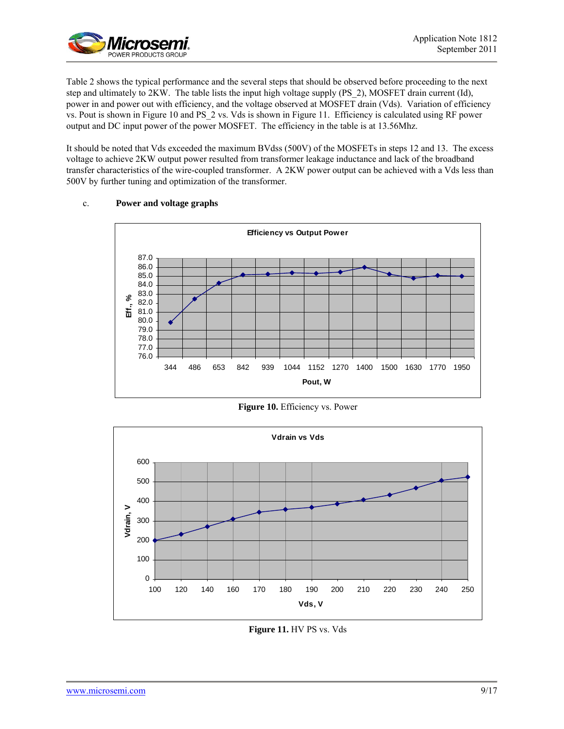

Table 2 shows the typical performance and the several steps that should be observed before proceeding to the next step and ultimately to 2KW. The table lists the input high voltage supply (PS\_2), MOSFET drain current (Id), power in and power out with efficiency, and the voltage observed at MOSFET drain (Vds). Variation of efficiency vs. Pout is shown in Figure 10 and PS\_2 vs. Vds is shown in Figure 11. Efficiency is calculated using RF power output and DC input power of the power MOSFET. The efficiency in the table is at 13.56Mhz.

It should be noted that Vds exceeded the maximum BVdss (500V) of the MOSFETs in steps 12 and 13. The excess voltage to achieve 2KW output power resulted from transformer leakage inductance and lack of the broadband transfer characteristics of the wire-coupled transformer. A 2KW power output can be achieved with a Vds less than 500V by further tuning and optimization of the transformer.



# c. **Power and voltage graphs**

**Figure 10.** Efficiency vs. Power



**Figure 11.** HV PS vs. Vds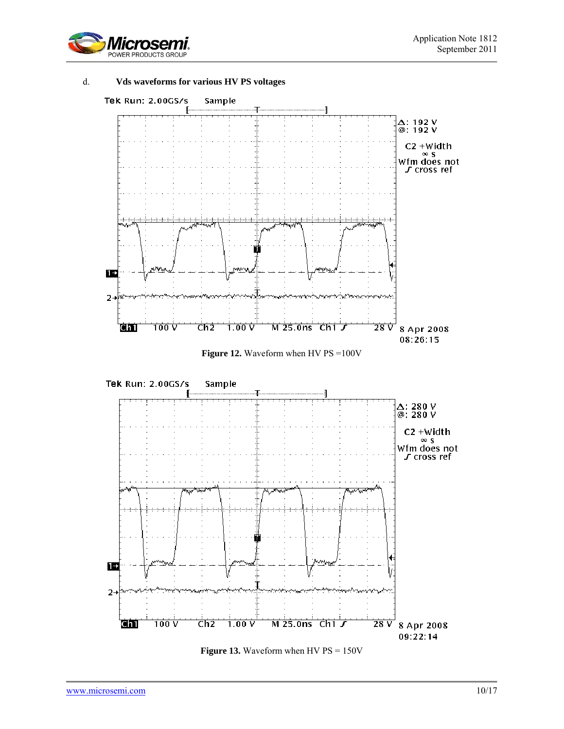

# d. **Vds waveforms for various HV PS voltages**



**Figure 12.** Waveform when HV PS =100V



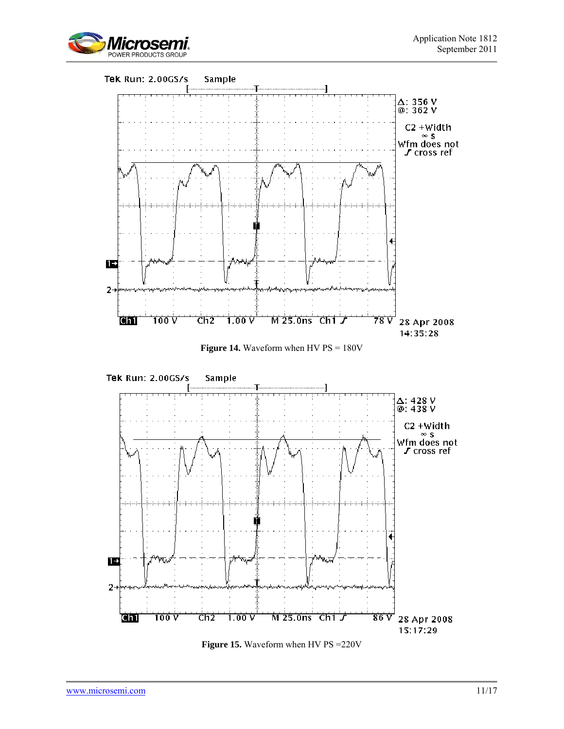







**Figure 15.** Waveform when HV PS = 220V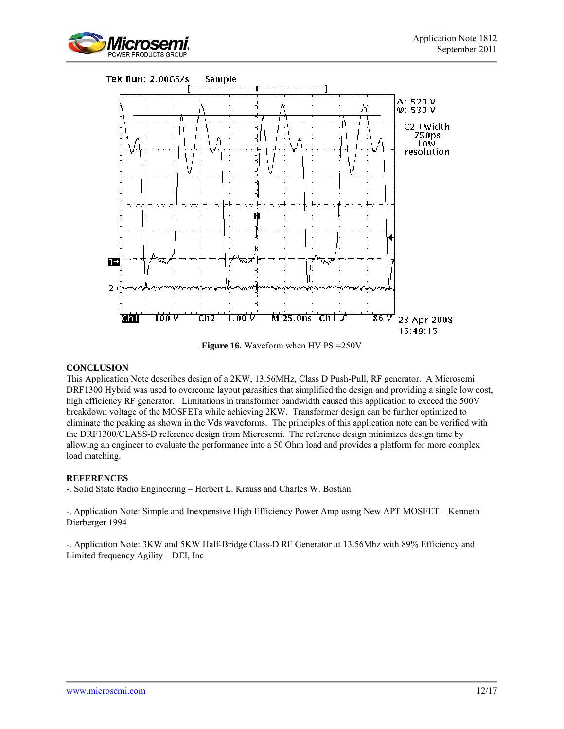



**Figure 16.** Waveform when HV PS = 250V

# **CONCLUSION**

This Application Note describes design of a 2KW, 13.56MHz, Class D Push-Pull, RF generator. A Microsemi DRF1300 Hybrid was used to overcome layout parasitics that simplified the design and providing a single low cost, high efficiency RF generator. Limitations in transformer bandwidth caused this application to exceed the 500V breakdown voltage of the MOSFETs while achieving 2KW. Transformer design can be further optimized to eliminate the peaking as shown in the Vds waveforms. The principles of this application note can be verified with the DRF1300/CLASS-D reference design from Microsemi. The reference design minimizes design time by allowing an engineer to evaluate the performance into a 50 Ohm load and provides a platform for more complex load matching.

# **REFERENCES**

-. Solid State Radio Engineering – Herbert L. Krauss and Charles W. Bostian

-. Application Note: Simple and Inexpensive High Efficiency Power Amp using New APT MOSFET – Kenneth Dierberger 1994

-. Application Note: 3KW and 5KW Half-Bridge Class-D RF Generator at 13.56Mhz with 89% Efficiency and Limited frequency Agility – DEI, Inc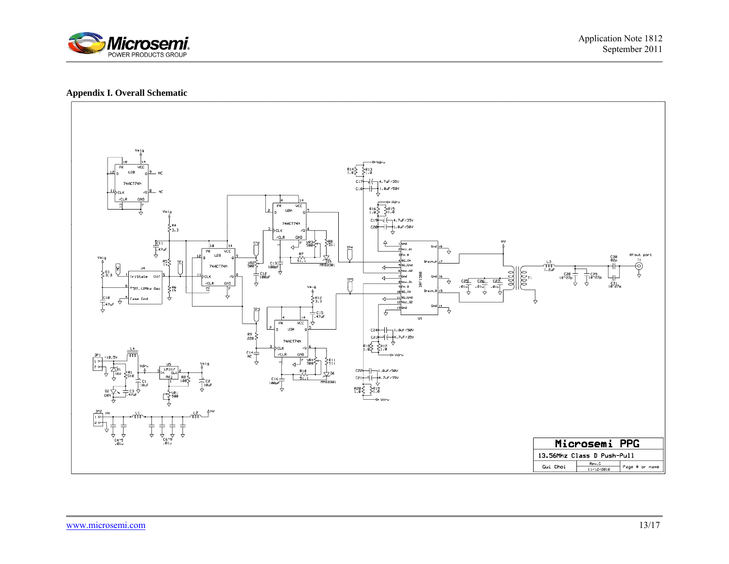

# **Appendix I. Overall Schematic**

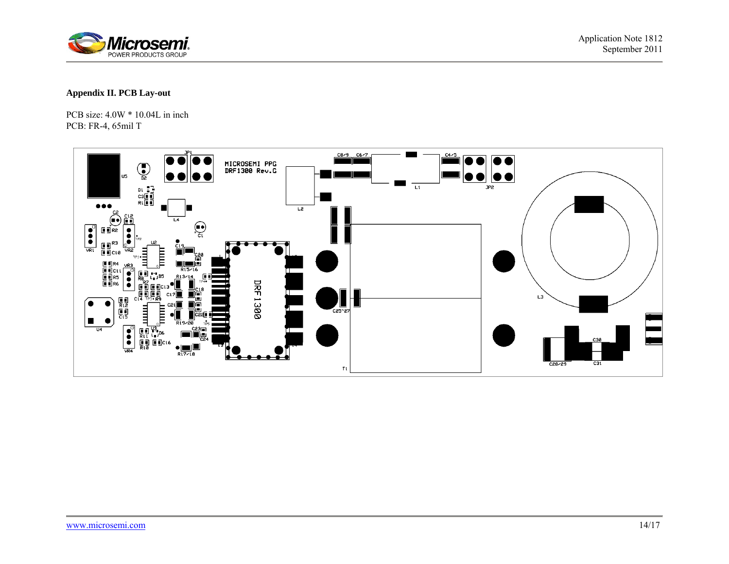

# **Appendix II. PCB Lay-out**

PCB size: 4.0W \* 10.04L in inch PCB: FR-4, 65mil T

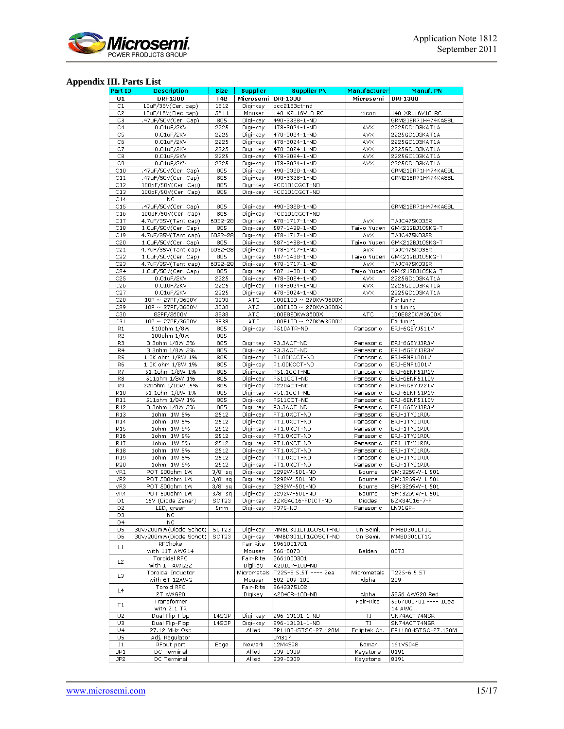

# **Appendix III. Parts List**

| <b>Part ID</b>  | <b>Description</b>                   | <b>Size</b>      | <b>Supplier</b>   | <b>Supplier PN</b>                           | Manufacturer | Manuf. PN                |
|-----------------|--------------------------------------|------------------|-------------------|----------------------------------------------|--------------|--------------------------|
| U1              | <b>DRF1300</b>                       | T <sub>4</sub> B | Microsemi DRF1300 |                                              | Microsemi    | <b>DRF1300</b>           |
| C1              | 10uF/35V(Cer. cap)                   | 1812             | Digi-key          | pcc2183ct-nd                                 |              |                          |
| C2              | 10uF/16V(Elec cap)                   | $5*11$           | Mouser            | 140-XRL16V10-RC                              | Xicon        | 140-XRL16V10-RC          |
| C3              | .47uF/50V(Cer. Cap)                  | 805              | Digi-key          | 490-3328-1-ND                                |              | GRM21BR71H474KA88L       |
| C4              | 0.01uF/2KV                           | 2225             | Digi-key          | 478-3024-1-ND                                | AVX          | 2225GC103KAT1A           |
| C5              | 0.01uF/2KV                           | 2225             | Digi-key          | 478-3024-1-ND                                | AVX          | 2225GC103KAT1A           |
| C6              | 0.01uF/2KV                           | 2225             | Digi-key          | 478-3024-1-ND                                | AVX          | 2225GC103KAT1A           |
| C7              | 0.01uF/2KV                           | 2225             | Digi-key          | 478-3024-1-ND                                | AVX          | 2225GC103KAT1A           |
| C8              | 0.01uF/2KV                           | 2225             | Digi-key          | 478-3024-1-ND                                | AVX          | 2225GC103KAT1A           |
| C9              | 0.01uF/2KV                           | 2225             | Digi-key          | 478-3024-1-ND                                | AVX          | 2225GC103KAT1A           |
| C10             | .47uF/50V(Cer. Cap)                  | 805              | Digi-key          | 490-3328-1-ND                                |              | GRM21BR71H474KA88L       |
| C11             | .47uF/50V(Cer. Cap)                  | 805              | Digi-key          | 490-3328-1-ND                                |              | GRM21BR71H474KA88L       |
| C12             | 100pF/50V(Cer. Cap)                  | 805              | Digi-key          | PCC101CGCT-ND                                |              |                          |
| C13             | 100pF/50V(Cer. Cap)                  | 805              | Digi-key          | PCC101CGCT-ND                                |              |                          |
| C14             | NC                                   |                  |                   |                                              |              |                          |
| C15             | .47uF/50V(Cer. Cap)                  | 805              | Digi-key          | 490-3328-1-ND                                |              | GRM21BR71H474KA88L       |
| C16             | 100pF/50V(Cer. Cap)                  | 805              | Digi-key          | PCC101CGCT-ND                                |              |                          |
| C17             | 4.7uF/35V(Tant cap)                  | 6032-28          | Digi-key          | 478-1717-1-ND                                | AvX          | TAJC475K035R             |
| C18             | 1.0uF/50V(Cer. Cap)                  | 805              | Digi-key          | 587-1438-1-ND                                | Taiyo Yuden  | GMK212BJ105KG-T          |
| C19             | 4.7uF/35V(Tant cap)                  | 6032-28          | Digi-key          | 478-1717-1-ND                                | AvX          | TAJC475K035R             |
| C20             | 1.0uF/50V(Cer. Cap)                  | 805              | Digi-key          | 587-1438-1-ND                                | Taiyo Yuden  | GMK212BJ105KG-T          |
| C21             | 4.7uF/35V(Tant cap)                  | 6032-28          | Digi-key          | 478-1717-1-ND                                | AvX          | TAJC475K035R             |
| C22             | 1.0uF/50V(Cer. Cap)                  | 805              | Digi-key          | 587-1438-1-ND                                | Taiyo Yuden  | GMK212BJ105KG-T          |
| C23             | 4.7uF/35V(Tant cap)                  | 6032-28          | Digi-key          | 478-1717-1-ND                                | AvX          | TAJC475K035R             |
| C24             | 1.0uF/50V(Cer. Cap)                  | 805              | Digi-key          | 587-1438-1-ND                                | Taiyo Yuden  | GMK212BJ105KG-T          |
| C25             | 0.01uF/2KV                           | 2225             | Digi-key          | 478-3024-1-ND<br>478-3024-1-ND               | AVX          | 2225GC103KAT1A           |
| C26             | 0.01uF/2KV                           | 2225             | Digi-key          | 478-3024-1-ND                                | AVX          | 2225GC103KAT1A           |
| C27             | 0.01uF/2KV                           | 2225             | Digi-key          |                                              | AVX.         | 2225GC103KAT1A           |
| C28<br>C29      | 10P ~ 27PF/3600V<br>10P ~ 27PF/3600V | 3838<br>3838     | ATC<br>ATC        | 100E100 ~ 270KW3600X<br>100E100 ~ 270KW3600X |              | For tuning<br>For tuning |
| C30             | 82PF/3600V                           | 3838             | ATC               | 100E820KW3600X                               | ATC          | 100E820KW3600X           |
| C31             | 10P ~ 27PF/3600V                     | 3838             | ATC               | 100E100 ~ 270KW3600X                         |              | For tuning               |
| R1              | 510ohm 1/8W                          | 805              | Digi-key          | P510ATR-ND                                   | Panasonic    | ERJ-6GEYJ511V            |
| R <sub>2</sub>  | 100ohm 1/8W                          | 805              |                   |                                              |              |                          |
| R3              | 3.3ohm 1/8W 5%                       | 805              | Digi-key          | P3.3ACT-ND                                   | Panasonic    | ERJ-6GEYJ3R3V            |
| R4              | 3.3ohm 1/8W 5%                       | 805              | Digi-key          | P3.3ACT-ND                                   | Panasonic    | ERJ-6GEYJ3R3V            |
| R <sub>5</sub>  | 1.0K ohm 1/8W 1%                     | 805              | Digi-key          | P1.00KCCT-ND                                 | Panasonic    | ERJ-ENF1001V             |
| R6              | 1.0K ohm 1/8W 1%                     | 805              | Digi-key          | P1.00KCCT-ND                                 | Panasonic    | ERJ-ENF1001V             |
| R7              | 51.1ohm 1/8W 1%                      | 805              | Digi-key          | P51.1CCT-ND                                  | Panasonic    | ERJ-6ENF51R1V            |
| R8              | 511ohm 1/8W 1%                       | 805              | Digi-key          | P511CCT-ND                                   | Panasonic    | ERJ-6ENF5110V            |
| R9              | 220ohm 1/10W .5%                     | 805              | Digi-key          | P220ACT-ND                                   | Panasonic    | ERJ-6GEYJ221V            |
| R <sub>10</sub> | 51.1ohm 1/8W 1%                      | 805              | Digi-key          | P51.1CCT-ND                                  | Panasonic    | ERJ-6ENF51R1V            |
| R11             | 511ohm 1/8W 1%                       | 805              | Digi-key          | P511CCT-ND                                   | Panasonic    | ERJ-6ENF5110V            |
| R12             | 3.3ohm 1/8W 5%                       | 805              | Digi-key          | P3.3ACT-ND                                   | Panasonic    | ERJ-6GEYJ3R3V            |
| R13             | 1ohm 1W 5%                           | 2512             | Digi-key          | PT1.0XCT-ND                                  | Panasonic    | ERJ-1TYJ1ROU             |
| R14             | 1ohm 1W 5%                           | 2512             | Digi-key          | PT1.0XCT-ND                                  | Panasonic    | ERJ-1TYJ1ROU             |
| R15             | 1ohm 1W 5%                           | 2512             | Digi-key          | PT1.0XCT-ND                                  | Panasonic    | ERJ-1TYJ1ROU             |
| R16             | 1ohm 1W 5%                           | 2512             | Digi-key          | PT1.0XCT-ND                                  | Panasonic    | ERJ-1TYJ1ROU             |
| R17             | 1ohm 1W 5%                           | 2512             | Digi-key          | PT1.0XCT-ND                                  | Panasonic    | ERJ-1TYJ1ROU             |
| <b>R18</b>      | 1ohm 1W 5%                           | 2512             | Digi-key          | PT1.0XCT-ND                                  | Panasonic    | ERJ-1TYJ1ROU             |
| R19             | 1ohm 1W 5%                           | 2512             | Digi-key          | PT1.0XCT-ND                                  | Panasonic    | ERJ-1TYJ1ROU             |
| <b>R20</b>      | 1ohm 1W 5%                           | 2512             | Digi-key          | PT1.0XCT-ND                                  | Panasonic    | ERJ-1TYJ1ROU             |
| VR1             | POT 500ohm 1W                        | $3/8"$ sq        | Digi-key          | 3292W-501-ND                                 | Bourns       | SM:3269W-1 501           |
| VR <sub>2</sub> | POT 500ohm 1W                        | $3/8"$ sq        | Digi-key          | 3292W-501-ND                                 | Bourns       | SM: 3269W-1 501          |
| VR3             | POT 500ohm 1W                        | $3/8"$ sq        | Digi-key          | 3292W-501-ND                                 | Bourns       | SM: 3269W-1 501          |
| VR4             | POT 500ohm 1W                        | $3/8"$ sq        | Digi-key          | 3292W-501-ND                                 | Bourns       | SM:3269W-1 501           |
| D1              | 16V (Diode Zener)                    | SOT23            | Digi-key          | BZX84C16-FDICT-ND                            | Diodes       | BZX84C16-7-F             |
| D <sub>2</sub>  | LED, green                           | 5mm              | Digi-key          | P375-ND                                      | Panasonic    | LN31GPH                  |
| D3              | NC                                   |                  |                   |                                              |              |                          |
| D4              | NC.                                  |                  |                   |                                              |              |                          |
| D5              | 30V/200mW(Diode Schot)               | SOT23            | Digi-key          | MMBD301LT1GOSCT-ND                           | On Semi.     | MMBD301LT1G              |
| D6              | 30V/200mW(Diode Schot)               | SOT23            | Digi-key          | MMBD301LT1GOSCT-ND                           | On Semi.     | MMBD301LT1G              |
| L1              | RFChoke                              |                  | Fair Rite         | 5961001701                                   |              |                          |
|                 | with 11T AWG14                       |                  | Mouser            | 566-8073                                     | Belden       | 8073                     |
| L <sub>2</sub>  | Toroidal RFC                         |                  | Fair-Rite         | 2661000301                                   |              |                          |
|                 | with 1T AWG22                        |                  | Digikey           | A2016R-100-ND                                |              |                          |
| L3              | Toroidal Inductor                    |                  |                   | Micrometals   T225-6 5.5T ---- 2ea           | Micrometals  | T225-6 5.5T              |
|                 | with 6T 12AWG                        |                  | Mouser            | 602-289-100                                  | Alpha        | 289                      |
| L4              | Toroid RFC                           |                  | Fair-Rite         | 2643375102                                   |              |                          |
|                 | 2T AWG20                             |                  | Digikey           | A2040R-100-ND                                | Alpha        | 5856 AWG20 Red           |
| T1              | Transformer                          |                  |                   |                                              | Fair-Rite    | 5967001701 ---- 10ea     |
|                 | with $2:1$ TR                        |                  |                   |                                              |              | 14 AWG                   |
| U <sub>2</sub>  | Dual Flip-Flop                       | 14SOP            | Digi-key          | 296-13131-1-ND                               | ΤI           | SN74ACT74NSR             |
| U3              | Dual Flip-Flop                       | 14SOP            | Digi-key          | 296-13131-1-ND                               | ΤI           | SN74ACT74NSR             |
| U4              | 27.12 MHz Osc                        |                  | Allied            | EP1100HSTSC-27.120M                          | Ecliptek Co. | EP1100HSTSC-27.120M      |
| U5              | Adj. Regulator                       |                  |                   | LM317                                        |              |                          |
| J1              | RFout port                           | Edge             | Newark            | 12M4398                                      | Bomar        | 161V504E                 |
| JP <sub>1</sub> | DC Terminal                          |                  | Allied            | 839-0309                                     | Keystone     | 8191                     |
| JP2             | DC Terminal                          |                  | Allied            | 839-0309                                     | Keystone     | 8191                     |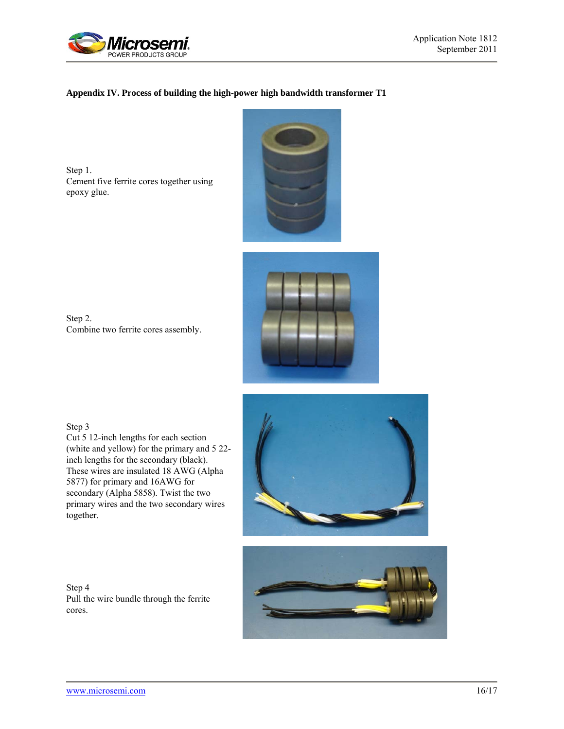

# **Appendix IV. Process of building the high-power high bandwidth transformer T1**

Step 1. Cement five ferrite cores together using epoxy glue.





Step 2. Combine two ferrite cores assembly.

Step 3

Cut 5 12-inch lengths for each section (white and yellow) for the primary and 5 22 inch lengths for the secondary (black). These wires are insulated 18 AWG (Alpha 5877) for primary and 16AWG for secondary (Alpha 5858). Twist the two primary wires and the two secondary wires together.

Step 4 Pull the wire bundle through the ferrite cores.